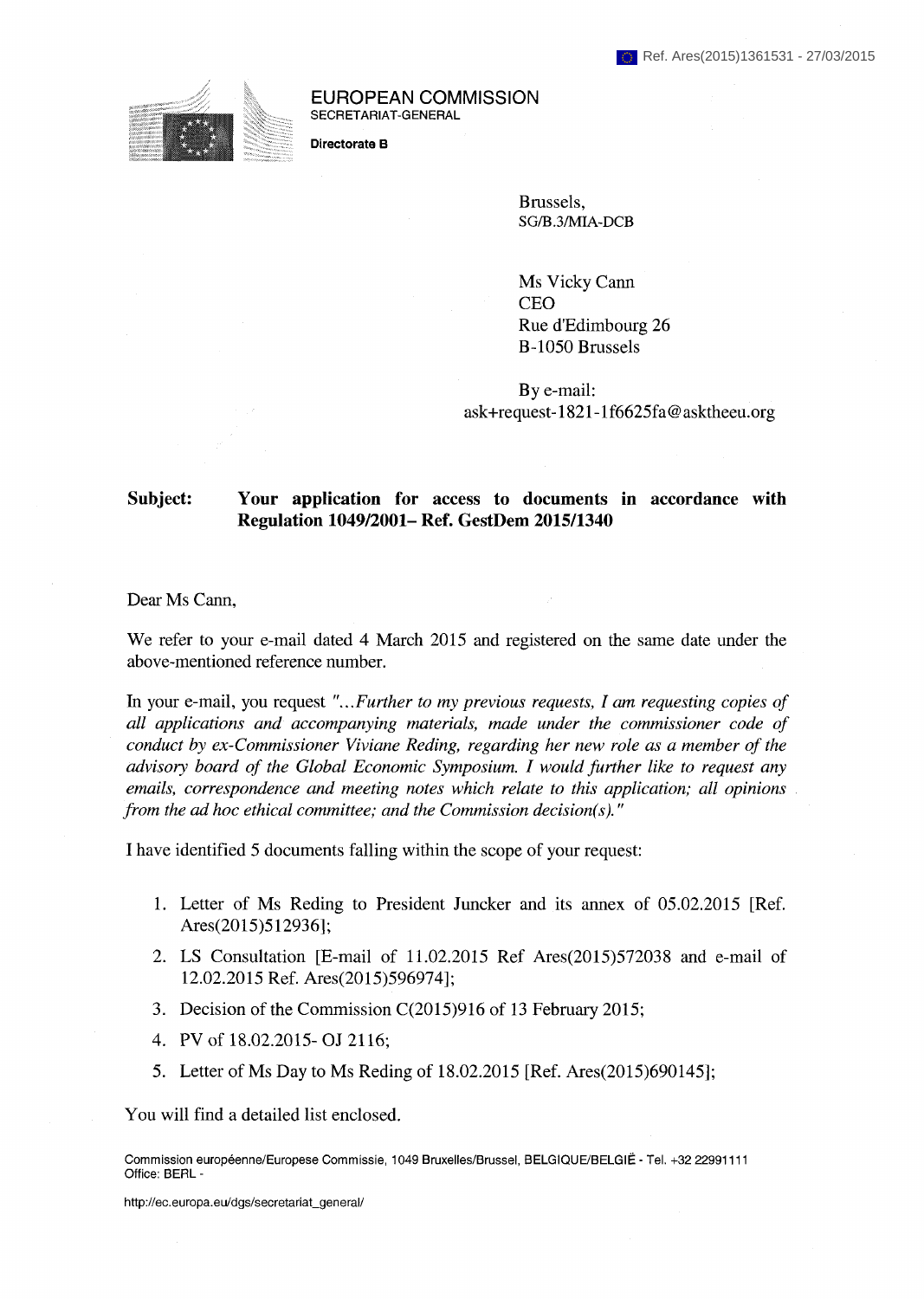

**EUROPEAN COMMISSION**  SECRETARIAT-GENERAL

**Directorate В** 

Brussels, SG/B .3/MIA-DCB

Ms Vicky Cann CEO Rue d'Edimbourg 26 B-1050 Brussels

By e-mail: ask+request-1821-1f6625fa@asktheeu.org

## **Subject: Your application for access to documents in accordance with Regulation 1049/2001- Ref. GestDem 2015/1340**

Dear Ms Cann,

We refer to your e-mail dated 4 March 2015 and registered on the same date under the above-mentioned reference number.

In your e-mail, you request *"...Further to my previous requests, I am requesting copies of all applications and accompanying materials, made under the commissioner code of conduct by ex-Commissioner Viviane Reding, regarding her new role as a member of the advisory board of the Global Economic Symposium. I would further like to request any emails, correspondence and meeting notes which relate to this application; all opinions from the ad hoc ethical committee; and the Commission decision(s).*"

I have identified 5 documents falling within the scope of your request:

- 1. Letter of Ms Reding to President Juncker and its annex of 05.02.2015 [Ref. Ares(2015)512936];
- 2. LS Consultation [E-mail of 11.02.2015 Ref Ares(2015)572038 and e-mail of 12.02.2015 Ref. Ares(2015)596974];
- 3. Decision of the Commission C(2015)916 of 13 February 2015;
- 4. PV of 18.02.2015-OJ 2116;
- 5. Letter of Ms Day to Ms Reding of 18.02.2015 [Ref. Ares(2015)690145];

You will find a detailed list enclosed.

Commission européenne/Europese Commissie, 1049 Bruxelles/Brussel, BELGIQUE/BELGIË - Tel. +32 22991111 Office: BERL -

http://ec.europa.eu/dgs/secretariat\_general/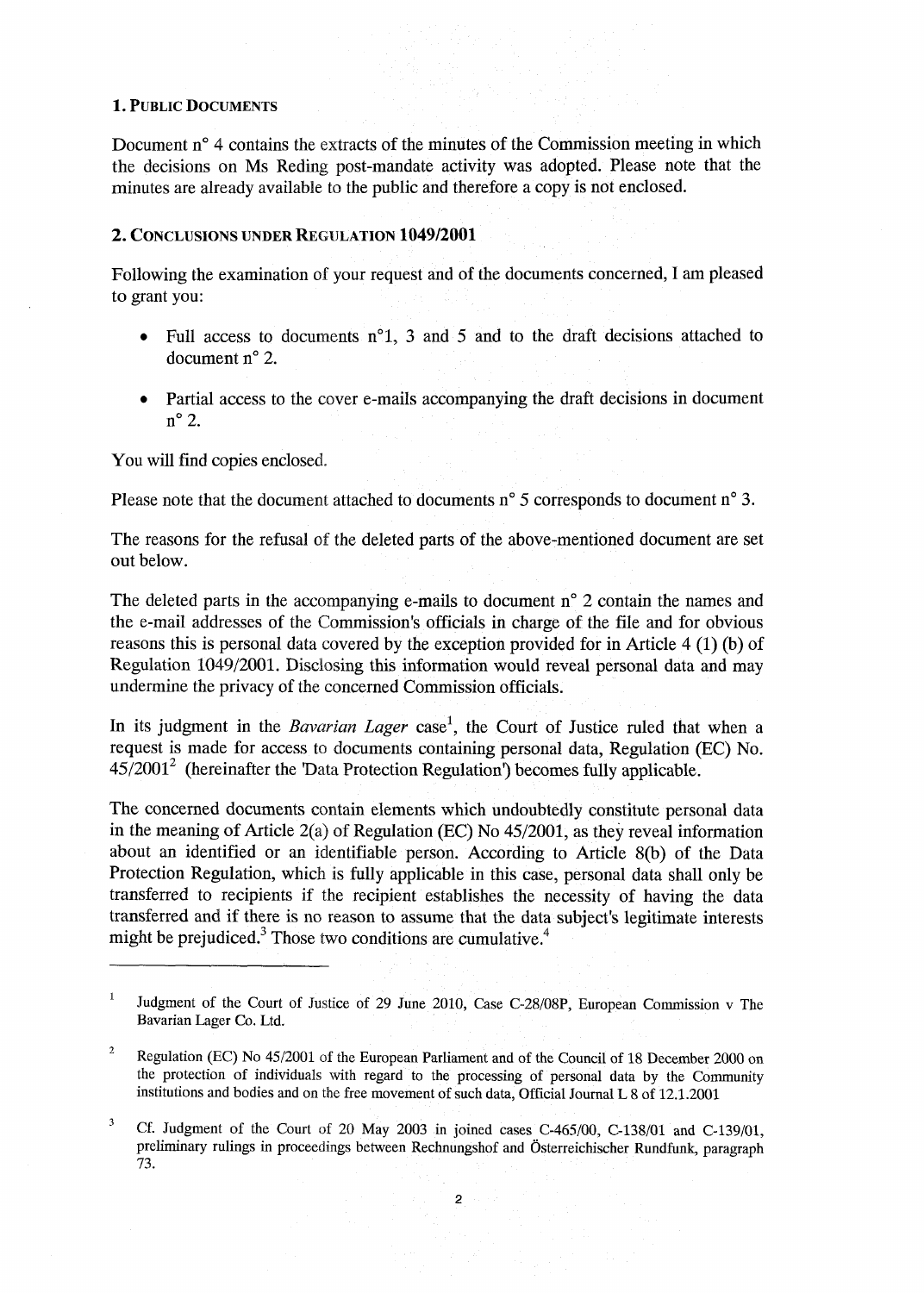## **1. PUBLIC DOCUMENTS**

Document n<sup>o</sup> 4 contains the extracts of the minutes of the Commission meeting in which the decisions on Ms Reding post-mandate activity was adopted. Please note that the minutes are already available to the public and therefore a copy is not enclosed.

## **2. CONCLUSIONS UNDER REGULATION 1049/2001**

Following the examination of your request and of the documents concerned, I am pleased to grant you:

- Full access to documents  $n^{\circ}1$ , 3 and 5 and to the draft decisions attached to document n° 2.
- Partial access to the cover e-mails accompanying the draft decisions in document n <sup>0</sup>2.

You will find copies enclosed.

Please note that the document attached to documents  $n^{\circ}$  5 corresponds to document  $n^{\circ}$  3.

The reasons for the refusal of the deleted parts of the above-mentioned document are set out below.

The deleted parts in the accompanying e-mails to document n° 2 contain the names and the e-mail addresses of the Commission's officials in charge of the file and for obvious reasons this is personal data covered by the exception provided for in Article 4 (1) (b) of Regulation 1049/2001. Disclosing this information would reveal personal data and may undermine the privacy of the concerned Commission officials.

In its judgment in the *Bavarian Lager* case<sup>1</sup>, the Court of Justice ruled that when a request is made for access to documents containing personal data, Regulation (EC) No.  $45/2001<sup>2</sup>$  (hereinafter the 'Data Protection Regulation') becomes fully applicable.

The concerned documents contain elements which undoubtedly constitute personal data in the meaning of Article 2(a) of Regulation (EC) No 45/2001, as they reveal information about an identified or an identifiable person. According to Article 8(b) of the Data Protection Regulation, which is fully applicable in this case, personal data shall only be transferred to recipients if the recipient establishes the necessity of having the data transferred and if there is no reason to assume that the data subject's legitimate interests might be prejudiced. $3$  Those two conditions are cumulative.<sup>4</sup>

 $\mathbf{1}$ Judgment of the Court of Justice of 29 June 2010, Case C-28/08P, European Commission v The Bavarian Lager Co. Ltd.

<sup>&</sup>lt;sup>2</sup> Regulation (EC) No  $45/2001$  of the European Parliament and of the Council of 18 December 2000 on the protection of individuals with regard to the processing of personal data by the Community institutions and bodies and on the free movement of such data, Official Journal L 8 of 12.1.2001

<sup>&</sup>lt;sup>3</sup> Cf. Judgment of the Court of 20 May 2003 in joined cases C-465/00, C-138/01 and C-139/01, preliminary rulings in proceedings between Rechnungshof and Österreichischer Rundfunk, paragraph 73.